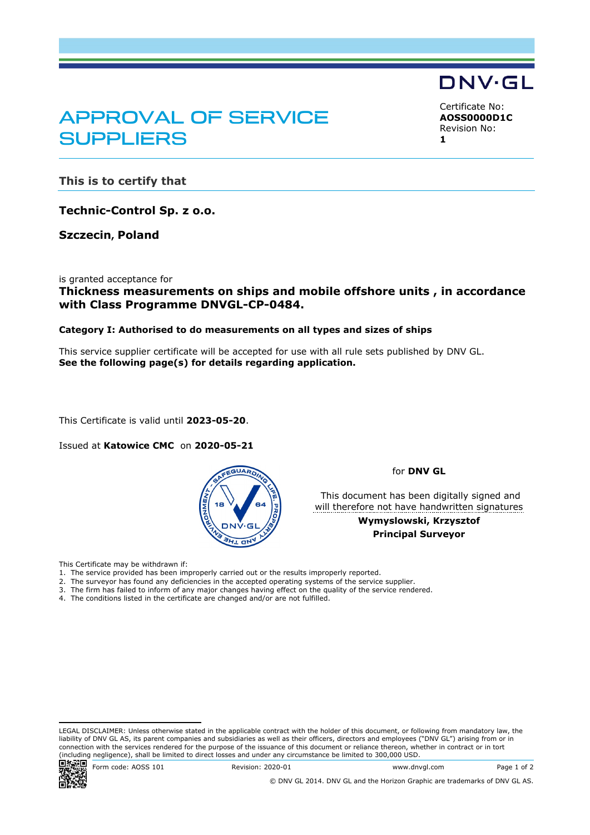# APPROVAL OF SERVICE **SUPPLIERS**

<span id="page-0-2"></span><span id="page-0-1"></span><span id="page-0-0"></span>Certificate No: **AOSS0000D1C** Revision No: **1**

DNV·GL

**This is to certify that**

**Technic-Control Sp. z o.o.**

**Szczecin, Poland**

is granted acceptance for

### **Thickness measurements on ships and mobile offshore units , in accordance with Class Programme DNVGL-CP-0484.**

#### **Category I: Authorised to do measurements on all types and sizes of ships**

This service supplier certificate will be accepted for use with all rule sets published by DNV GL. **See the following page(s) for details regarding application.**

This Certificate is valid until **2023-05-20**.

Issued at **Katowice CMC** on **2020-05-21** 



for **DNV GL**

 This document has been digitally signed and will therefore not have handwritten signatures

> **Wymyslowski, Krzysztof Principal Surveyor**

This Certificate may be withdrawn if:

- 1. The service provided has been improperly carried out or the results improperly reported.
- 2. The surveyor has found any deficiencies in the accepted operating systems of the service supplier.
- 3. The firm has failed to inform of any major changes having effect on the quality of the service rendered.
- 4. The conditions listed in the certificate are changed and/or are not fulfilled.

LEGAL DISCLAIMER: Unless otherwise stated in the applicable contract with the holder of this document, or following from mandatory law, the liability of DNV GL AS, its parent companies and subsidiaries as well as their officers, directors and employees ("DNV GL") arising from or in connection with the services rendered for the purpose of the issuance of this document or reliance thereon, whether in contract or in tort (including negligence), shall be limited to direct losses and under any circumstance be limited to 300,000 USD.